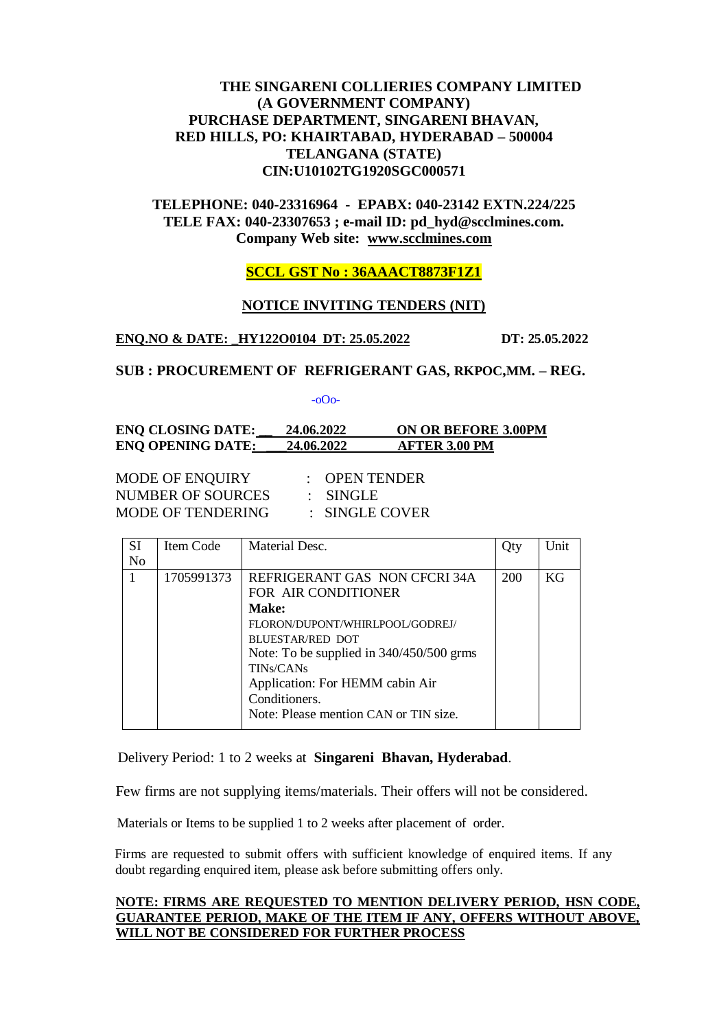# **THE SINGARENI COLLIERIES COMPANY LIMITED (A GOVERNMENT COMPANY) PURCHASE DEPARTMENT, SINGARENI BHAVAN, RED HILLS, PO: KHAIRTABAD, HYDERABAD – 500004 TELANGANA (STATE) CIN:U10102TG1920SGC000571**

**TELEPHONE: 040-23316964 - EPABX: 040-23142 EXTN.224/225 TELE FAX: 040-23307653 ; e-mail ID: pd\_hyd@scclmines.com. Company Web site: [www.scclmines.com](http://www.scclmines.com/)**

# **SCCL GST No : 36AAACT8873F1Z1**

#### **NOTICE INVITING TENDERS (NIT)**

#### **ENQ.NO & DATE: \_HY122O0104 DT: 25.05.2022 DT: 25.05.2022**

# **SUB : PROCUREMENT OF REFRIGERANT GAS, RKPOC,MM. – REG.**

-oOo-

# **ENQ CLOSING DATE: \_\_ 24.06.2022 ON OR BEFORE 3.00PM ENQ OPENING DATE: \_\_\_24.06.2022 AFTER 3.00 PM**

MODE OF ENQUIRY : OPEN TENDER NUMBER OF SOURCES : SINGLE MODE OF TENDERING : SINGLE COVER

| SI             | Item Code  | Material Desc.                           |            | Unit |
|----------------|------------|------------------------------------------|------------|------|
| N <sub>0</sub> |            |                                          |            |      |
|                | 1705991373 | REFRIGERANT GAS NON CFCRI 34A            | <b>200</b> | KG.  |
|                |            | FOR AIR CONDITIONER                      |            |      |
|                |            | <b>Make:</b>                             |            |      |
|                |            | FLORON/DUPONT/WHIRLPOOL/GODREJ/          |            |      |
|                |            | BLUESTAR/RED DOT                         |            |      |
|                |            | Note: To be supplied in 340/450/500 grms |            |      |
|                |            | TIN <sub>s</sub> /CAN <sub>s</sub>       |            |      |
|                |            | Application: For HEMM cabin Air          |            |      |
|                |            | Conditioners.                            |            |      |
|                |            | Note: Please mention CAN or TIN size.    |            |      |
|                |            |                                          |            |      |

Delivery Period: 1 to 2 weeks at **Singareni Bhavan, Hyderabad**.

Few firms are not supplying items/materials. Their offers will not be considered.

Materials or Items to be supplied 1 to 2 weeks after placement of order.

 Firms are requested to submit offers with sufficient knowledge of enquired items. If any doubt regarding enquired item, please ask before submitting offers only.

## **NOTE: FIRMS ARE REQUESTED TO MENTION DELIVERY PERIOD, HSN CODE, GUARANTEE PERIOD, MAKE OF THE ITEM IF ANY, OFFERS WITHOUT ABOVE, WILL NOT BE CONSIDERED FOR FURTHER PROCESS**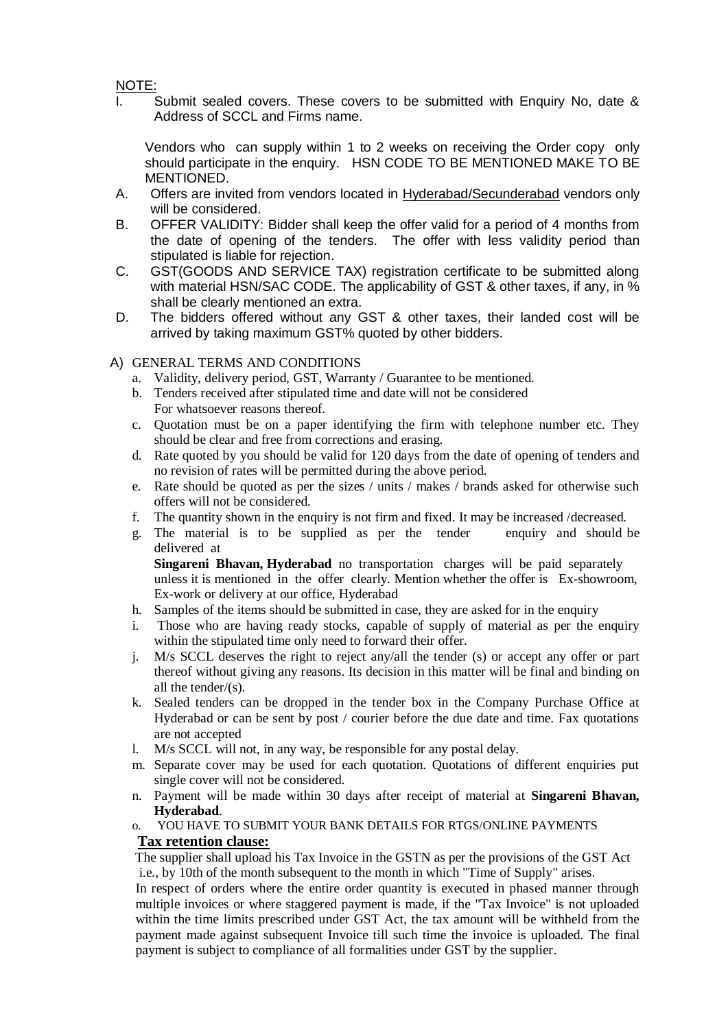# NOTE:

I. Submit sealed covers. These covers to be submitted with Enquiry No, date & Address of SCCL and Firms name.

Vendors who can supply within 1 to 2 weeks on receiving the Order copy only should participate in the enquiry. HSN CODE TO BE MENTIONED MAKE TO BE MENTIONED.

- A. Offers are invited from vendors located in Hyderabad/Secunderabad vendors only will be considered.
- B. OFFER VALIDITY: Bidder shall keep the offer valid for a period of 4 months from the date of opening of the tenders. The offer with less validity period than stipulated is liable for rejection.
- C. GST(GOODS AND SERVICE TAX) registration certificate to be submitted along with material HSN/SAC CODE. The applicability of GST & other taxes, if any, in % shall be clearly mentioned an extra.
- D. The bidders offered without any GST & other taxes, their landed cost will be arrived by taking maximum GST% quoted by other bidders.

## A) GENERAL TERMS AND CONDITIONS

- a. Validity, delivery period, GST, Warranty / Guarantee to be mentioned.
- b. Tenders received after stipulated time and date will not be considered For whatsoever reasons thereof.
- c. Quotation must be on a paper identifying the firm with telephone number etc. They should be clear and free from corrections and erasing.
- d. Rate quoted by you should be valid for 120 days from the date of opening of tenders and no revision of rates will be permitted during the above period.
- e. Rate should be quoted as per the sizes / units / makes / brands asked for otherwise such offers will not be considered.
- f. The quantity shown in the enquiry is not firm and fixed. It may be increased /decreased.
- g. The material is to be supplied as per the tender enquiry and should be delivered at

**Singareni Bhavan, Hyderabad** no transportation charges will be paid separately unless it is mentioned in the offer clearly. Mention whether the offer is Ex-showroom, Ex-work or delivery at our office, Hyderabad

- h. Samples of the items should be submitted in case, they are asked for in the enquiry
- i. Those who are having ready stocks, capable of supply of material as per the enquiry within the stipulated time only need to forward their offer.
- j. M/s SCCL deserves the right to reject any/all the tender (s) or accept any offer or part thereof without giving any reasons. Its decision in this matter will be final and binding on all the tender/(s).
- k. Sealed tenders can be dropped in the tender box in the Company Purchase Office at Hyderabad or can be sent by post / courier before the due date and time. Fax quotations are not accepted
- l. M/s SCCL will not, in any way, be responsible for any postal delay.
- m. Separate cover may be used for each quotation. Quotations of different enquiries put single cover will not be considered.
- n. Payment will be made within 30 days after receipt of material at **Singareni Bhavan, Hyderabad**.
- o. YOU HAVE TO SUBMIT YOUR BANK DETAILS FOR RTGS/ONLINE PAYMENTS **Tax retention clause:**

# The supplier shall upload his Tax Invoice in the GSTN as per the provisions of the GST Act i.e., by 10th of the month subsequent to the month in which "Time of Supply" arises.

In respect of orders where the entire order quantity is executed in phased manner through multiple invoices or where staggered payment is made, if the "Tax Invoice" is not uploaded within the time limits prescribed under GST Act, the tax amount will be withheld from the payment made against subsequent Invoice till such time the invoice is uploaded. The final payment is subject to compliance of all formalities under GST by the supplier.